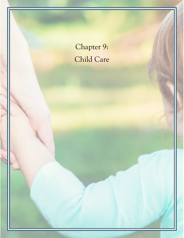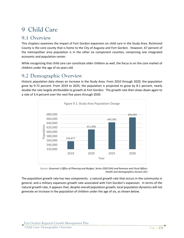# **9 Child Care**

### **9.1 Overview**

This chapters examines the impact of Fort Gordon expansion on child care in the Study Area. Richmond County is the core county that is home to the City of Augusta and Fort Gordon. However, 67 percent of the metropolitan area population is in the other six component counties, comprising one integrated economic and population center.

While recognizing that child care can constitute older children as well, the focus in on the core market of children under the age of six years old.

### **9.2 Demographic Overview**

Historic population data shows an increase in the Study Area. From 2010 through 2020, the population grew by 9.72 percent. From 2019 to 2025, the population is projected to grow by 8.1 percent, nearly double the rate largely attributable to growth at Fort Gordon. The growth rate then slows down again to a rate of 3.4 percent over the next five years through 2030.



*Source: Governor's Office of Planning and Budget, Series 2020 (GA) and Revenue and Fiscal Affairs Health and Demographics Section (SC)*

The population growth rate has two components: a natural growth rate that occurs in the community in general, and a military expansion growth rate associated with Fort Gordon's expansion. In terms of the natural growth rate, it appears that, despite overall population growth, local population dynamics will not generate an increase in the population of children under the age of six, as shown below.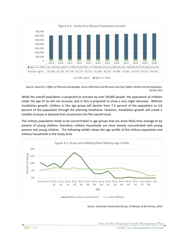

*Source: Governor's Office of Planning and Budget, Series 2020 (GA) and Revenue and Fiscal Affairs Health and Demographics Section (SC)*

While the overall population is projected to increase by over 50,000 people, the population of children under the age of six will not increase, and in fact is projected to show a very slight decrease. Without Installation growth, children in this age group will decline from 7.4 percent of the population to 6.8 percent of the population through the planning timeframe. However, Installation growth will create a notable increase in demand that counteracts this flat overall trend.

The military population tends to be concentrated in age groups that are more likely than average to be parents of young children, therefore, military households are more heavily concentrated with young parents and young children. The following exhibit shows the age profile of the military population and military households in the Study Area.



*Source: American Community Survey, US Bureau of the Census, 2019*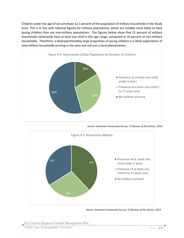Children under the age of six constitute 12.1 percent of the population of military households in the Study Area. This is in line with national figures for military populations, which are notably more likely to have young children than are non-military populations. The figures below show that 21 percent of military households nationwide have at least one child in this age range, compared to 16 percent of non-military households. Therefore, a disproportionately large proportion of young children is a likely expectation of new military households arriving in the area and not just a local phenomenon.



*Source: American Community Survey, US Bureau of the Census, 2019*



*Source: American Community Survey, US Bureau of the Census, 2019*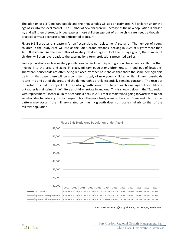The addition of 6,370 military people and their households will add an estimated 773 children under the age of six into the local market. The number of new children will increase as the new population is phased in, and will then theoretically decrease as those children age out of prime child care needs although in practical terms a decrease is not anticipated to occur).

Figure 9.6 illustrates this pattern for an "expansion, no replacement" scenario. The number of young children in the Study Area will rise as the Fort Gordon expands, peaking in 2024 at slightly more than 46,000 children. As the new influx of military children ages out of the 0-5 age group, the number of children will then revert back to the baseline long-term projections presented earlier.

Some populations such as military populations can include unique migration characteristics. Rather than moving into the area and aging in place, military populations often rotate in and out of locations. Therefore, households are often being replaced by other households that share the same demographic traits. In that case, there will be a consistent supply of new young children while military households rotate into and out of the area, and the demographic profile essentially remains constant. The result of this rotation is that the impact of Fort Gordon growth never drops to zero as children age out of child care but rather is maintained indefinitely as children rotate in and out. This is shown below in the "Expansion with replacement" scenario. In this scenario a peak in 2024 that is maintained going forward with minor variation due to natural growth changes. This is the more likely scenario to occur. Some reduction of this pattern may occur if the military-related community growth does not rotate similarly to that of the military population.



*Source: Governor's Office of Planning and Budget, Series 2020*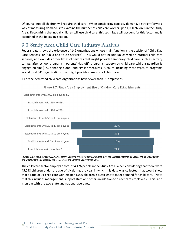Of course, not all children will require child care. When considering capacity demand, a straightforward way of measuring demand is to examine the number of child care workers per 1,000 children in the Study Area. Recognizing that not all children will use child care, this technique will account for this factor and is examined in the following section.

# **9.3 Study Area Child Care Industry Analysis**

Federal data shows the existence of 142 organizations whose main function is the activity of "Child Day Care Services" or "Child and Youth Services". This would not include unlicensed or informal child care services, and excludes other types of services that might provide temporary child care, such as activity camps, after-school programs, "parents' day off" programs, supervised child care while a guardian is engage on site (i.e., donating blood) and similar measures. A count including those types of programs would total 341 organizations that might provide some sort of child care.



All of the dedicated child care organizations have fewer than 50 employees.

*Source: U.S. Census Bureau (2019). All Sectors: County Business Patterns, including ZIP Code Business Patterns, by Legal Form of Organization and Employment Size Class for the U.S., States, and Selected Geographies: 2019*

The child care sector employs a total of 4,126 people in the Study Area. When considering that there were 45,098 children under the age of six during the year in which this data was collected, that would show that a ratio of 91 child care workers per 1,000 children is sufficient to meet demand for child care. (Note that this includes management, support staff, and others in addition to direct-care employees.) This ratio is on par with the two-state and national averages.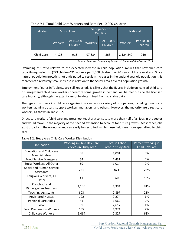| Industry   | <b>Study Area</b> |                        | Georgia-South<br>Carolina |                        | <b>National</b> |                        |
|------------|-------------------|------------------------|---------------------------|------------------------|-----------------|------------------------|
|            | <b>Workers</b>    | Per 10,000<br>Children | <b>Workers</b>            | Per 10,000<br>Children | <b>Workers</b>  | Per 10,000<br>Children |
| Child Care | 4,126             | 915                    | 97,634                    | 868                    | 2,124,849       | 910                    |

Table 9.1: Total Child Care Workers and Rate Per 10,000 Children

*Source: American Community Survey, US Bureau of the Census, 2019* 

Examining this ratio relative to the expected increase in child population implies that new child care capacity equivalent to (773 children\*91 workers per 1,000 children), or 70 new child care workers. Since natural population growth is not anticipated to result in increases in the under 6 year old population, this represents a relatively small increase in relation to the Study Area's overall population growth.

Employment figures in Table 9.1 are self-reported. It islikely that the figures include unlicensed child care or unregistered child care workers, therefore some growth in demand will be met outside the licensed care industry, although the extent cannot be determined from available data.

The types of workers in child care organizations can cross a variety of occupations, including direct care workers, administrators, support workers, managers, and others. However, the majority are direct-care workers, as shown in Table 9-2.

Direct care workers (child care and preschool teachers) constitute more than half of all jobs in the sector and would make up the majority of the needed expansion to account for future growth. Most other jobs exist broadly in the economy and can easily be recruited, while these fields are more specialized to child care.

| Occupation                                        | Working in Child Day Care<br>Services in Study Area | <b>Total in Labor</b><br>Force in Study Area | Percent working in<br><b>Child Day Care</b> |
|---------------------------------------------------|-----------------------------------------------------|----------------------------------------------|---------------------------------------------|
| <b>Education and Child care</b><br>Administrators | 38                                                  | 1,091                                        | 3%                                          |
| <b>Food Service Managers</b>                      | 54                                                  | 1,431                                        | 4%                                          |
| Social Workers, All Other                         | 69                                                  | 1,014                                        | 7%                                          |
| Social and Human Service<br>Assistants            | 231                                                 | 874                                          | 26%                                         |
| Religious Workers, All<br>Other                   | 41                                                  | 328                                          | 13%                                         |
| Preschool and<br>Kindergarten Teachers            | 1,135                                               | 1,394                                        | 81%                                         |
| <b>Teaching Assistants</b>                        | 603                                                 | 2,897                                        | 21%                                         |
| <b>Registered Nurses</b>                          | 102                                                 | 9,274                                        | 1%                                          |
| <b>Personal Care Aides</b>                        | 41                                                  | 1,662                                        | 2%                                          |
| Cooks                                             | 39                                                  | 7,617                                        | 1%                                          |
| <b>Food Preparation Workers</b>                   | 135                                                 | 1,974                                        | 7%                                          |
| <b>Child care Workers</b>                         | 1,464                                               | 2,327                                        | 63%                                         |

|  |  | Table 9.2: Study Area Child Care Worker Distribution |
|--|--|------------------------------------------------------|
|  |  |                                                      |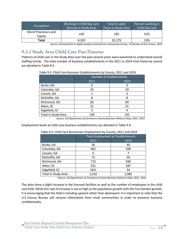| Occupation                            | Working in Child Day Care<br>Services in Study Area | Total in Labor<br>Force in Study Area | Percent working in<br>Child Day Care |
|---------------------------------------|-----------------------------------------------------|---------------------------------------|--------------------------------------|
| Word Processors and<br><b>Typists</b> | 150                                                 | 292                                   | 51%                                  |
| Total                                 | 4.102                                               | 32.175                                | 13%                                  |

*Source: Derived from in-depth analysis of American Community Survey, US Bureau of the Census, 2019*

#### **9.3.1 Study Area Child Care Past Patterns**

Patterns of child care in the Study Area over the past several years were examined to understand overall staffing trends. The total number of business establishments in the 2011 to 2019 time frame by county are detailed in Table 9.3.

| Table 9.3: Child Care Business Establishments by County, 2011 and 2019 |  |  |  |
|------------------------------------------------------------------------|--|--|--|
|                                                                        |  |  |  |
|                                                                        |  |  |  |

|                            | <b>Number of Establishments</b> |      |  |  |
|----------------------------|---------------------------------|------|--|--|
|                            | 2011                            | 2019 |  |  |
| Burke, GA                  | 6                               | 3    |  |  |
| Columbia, GA               | 25                              | 29   |  |  |
| Lincoln, GA                |                                 | 3    |  |  |
| McDuffie, GA               | 8                               | 8    |  |  |
| Richmond, GA               | 56                              | 64   |  |  |
| Aiken, SC                  | 31                              | 31   |  |  |
| Edgefield, SC              | 3                               |      |  |  |
| <b>Total in Study Area</b> | 130                             | 142  |  |  |

*Source: US Department of Commerce County Business Patterns Data, 2011, 2019*

Employment levels at child care business establishments are detailed in Table 9.4.

|                            | <b>Total Employment at Establishments</b> |       |  |  |
|----------------------------|-------------------------------------------|-------|--|--|
|                            | 2011                                      | 2019  |  |  |
| Burke, GA                  | 36                                        | 40    |  |  |
| Columbia, GA               | 462                                       | 599   |  |  |
| Lincoln, GA                |                                           |       |  |  |
| McDuffie, GA               | 75                                        | 59    |  |  |
| Richmond, GA               | 712                                       | 936   |  |  |
| Aiken, SC                  | 231                                       | 287   |  |  |
| Edgefield, SC              | N/A                                       | 54    |  |  |
| <b>Total in Study Area</b> | 1,516                                     | 1,982 |  |  |

#### Table 9.4: Child Care Businesses Employment by County, 2011 and 2019

*Source: US Department of Commerce County Business Patterns Data, 2011, 2019*

The data show a slight increase in the licensed facilities as well as the number of employees in the child care field. While this rate of increase is not as high as the population growth with the Fort Gordon growth, it is encouraging that the field is trending upward rather than downward. It is important to note that the U.S Census Bureau will remove information from small communities in order to preserve business confidentiality.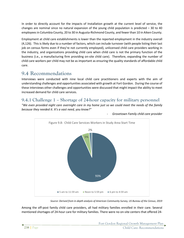In order to directly account for the impacts of Installation growth at the current level of service, the changes are nominal since no natural expansion of the young child population is predicted  $-30$  to 40 employees in Columbia County, 20 to 30 in Augusta-Richmond County, and fewer than 10 in Aiken County.

Employment at child care establishments is lower than the reported employment in the industry overall (4,126). This is likely due to a number of factors, which can include turnover (with people listing their last job on census forms even if they're not currently employed), unlicensed child care providers working in the industry, and organizations providing child care when child care is not the primary function of the business (i.e., a manufacturing firm providing on-site child care). Therefore, expanding the number of child care workers per child may not be as important as ensuring the quality standards of affordable child care.

# **9.4 Recommendations**

Interviews were conducted with nine local child care practitioners and experts with the aim of understanding challenges and opportunities associated with growth at Fort Gordon. During the course of these interviews other challenges and opportunities were discussed that might impact the ability to meet increased demand for child care services.

#### **9.4.1 Challenge 1 – Shortage of 24-hour capacity for military personnel**

*"We even provided night care overnight care in my home just so we could meet the needs of the family because they needed it. It's a vast need, you know?"*



- *Grovetown Family child care provider*

*Source: Derived from in-depth analysis of American Community Survey, US Bureau of the Census, 2019*

Among the off-post family child care providers, all had military families enrolled in their care. Several mentioned shortages of 24-hour care for military families. There were no on-site centers that offered 24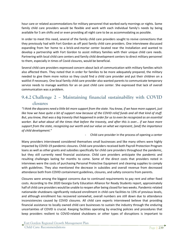hour care or related accommodations for military personnel that worked early mornings or nights. Some family child care providers would be flexible and work with each individual family's needs by being available for 5 am shifts and or even providing all night care to be as accommodating as possible.

In order to meet this need, several of the family child care providers sought to revive connections that they previously had with Fort Gordon as off post family child care providers. One interviewee discussed expanding from her home to a brick-and-mortar center located near the Installation and wanted to develop a partnership with Fort Gordon to assist military families with their unique child care needs. Partnering with local child care centers and family child development centers to direct military personnel to them, especially in times of Covid closures, would be beneficial.

Several child care providers expressed concern about lack of communication with military families which also affected them. They noted that in order for families to be more adequately prepared, the military needed to give them more notice so they could find a child care provider and put their children on a waitlist if necessary. One local family child care provider also wanted parents to communicate temporary service needs to manage waitlists for an on post child care center. She expressed that lack of overall communication was a problem.

#### **9.4.2 Challenge 2 – Maintaining financial sustainability with COVID closures**

*"I think the daycares need a little bit more support from the state. You know, if we have more support, just like how we have quite a bit of support now because of the COVID relief funds and all that kind of stuff. But, you know, that was a big travesty that happened in order for us to even be recognized as an essential worker. But what about all the times that before the travesty, and after this is over… if we have more support from the state, recognizing our worth and our value on what we represent, [and] the importance of child development."*

Child care provider in the process of opening a center

Many providers interviewed considered themselves small businesses and like many others were highly impacted by COVID-19 pandemic closures. Child care providers received both Payroll Protection Program loans as well as other grants and subsidies specifically for child care providers throughout the pandemic, but they still currently need financial assistance. Child care providers anticipate the pandemic and resulting challenges lasting for months to come. Some of the direct costs that providers noted in interviews were the costs of purchasing Personal Protective Equipment and cleaning supplies to comply with guidelines. They also mentioned the decrease in subsidies and overall revenue from decreased attendance both from COVID containment guidelines, closures, and safety concerns from parents.

Closures were among the biggest concerns due to continued requirements to pay rent and other fixed costs. According to the 2020 Georgia Early Education Alliance for Ready Students report, approximately half of child care providers would be unable to reopen after being closed for two weeks. Pandemic-related nationwide shutdowns significantly reduced enrollment in child care facilities to 13% of previous levels, and although enrollment has recovered somewhat, overall numbers are still down due to attendance inconsistencies caused by COVID closures. All child care experts interviewed believe that providing financial assistance to locally owned child care businesses to sustain the industry through the enduring uncertainties of COVID is crucial. Keeping facilities operating by enacting policies and procedures that keep providers resilient to COVID-related shutdowns or other types of disruptions is important to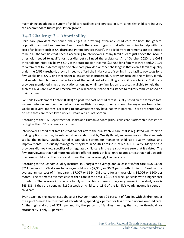maintaining an adequate supply of child care facilities and services. In turn, a healthy child care industry can accommodate future population growth.

### **9.4.3 Challenge 3 – Affordability**

Child care providers mentioned challenges in providing affordable child care for both the general population and military families. Even though there are programs that offer subsidies to help with the cost of child care such as Childcare and Parent Services (CAPS), the eligibility requirements are too limited to help all the families that need it according to interviewees. Many families earn just above the income threshold needed to qualify for subsidies yet still need the assistance. As of October 2020, the CAPS threshold for initial eligibility is 50% of the state median income -\$33,688 for a family of three and \$40,105 for a family of four. According to one child care provider, another challenge is that even if families qualify under the CAPS threshold, they still need to afford the initial costs of settling into a facility pay costs for a few weeks until CAPS or other financial assistance is processed. A provider recalled one military family that needed help but was unable to afford the initial cost of enrolling at a child care facility. Child care providers mentioned a lack of education among new military families on resources available to help them such as Child Care Aware of America, which will provide financial assistance to military families based on their income.

For Child Development Centers (CDCs) on-post, the cost of child care is usually based on the family's total income. Interviewees commented on how waitlists for on-post centers could be anywhere from a few weeks to several months, according to conversations they have had with parents. There are three CDCs on base that care for children under 6 years old at Fort Gordon.

According to the U.S. Department of Health and Human Services (HHS), child care is affordable if costs are no higher than 7% of a family's income.

Interviewees noted that families that cannot afford the quality child care that is regulated will resort to finding options that may be subpar to the standards set by Quality Rated, and even more so the standards set by the military. Quality Rated is Georgia's system for managing child care quality ratings and improvements. The quality management system in South Carolina is called ABC Quality. Many of the providers did not know specifics of unregulated child care in the area but were sure that it existed. The few interviewees that had more knowledge offered stories of local unregulated sitters that had upwards of a dozen children in their care and others that had alarmingly low daily rates.

According to the Economic Policy Institute, in Georgia the average annual cost of infant care is \$8,530 or \$711 per month. Child care for a 4-year-old costs \$7,306, or \$609 per month. In South Carolina, the average annual cost of infant care is \$7,007 or \$584. Child care for a 4-year-old is \$6,006 or \$500 per month. The estimated average cost of child care in the area is \$160 per week per child with a higher cost for infants. The average income of a family with a child six years of age or younger in the study area is \$45,186. If they are spending \$160 a week on child care, 18% of the family's yearly income is spent on child care.

Even assuming the lowest cost above of \$500 per month, only 21 percent of families with children under the age of 5 meet the threshold of affordability, spending 7 percent or less of their income on child care. At the high end cost of \$711 per month, the percent of families meeting the income threshold for affordability is only 10 percent.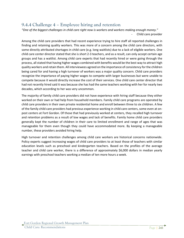#### **9.4.4 Challenge 4 – Employee hiring and retention**

*"One of the biggest challenges in child care right now is workers and workers making enough money."* Child care provider

Among the child care providers that had recent experience trying to hire staff all reported challenges in finding and retaining quality workers. This was more of a concern among the child care directors, with some directly attributed shortages in child care (e.g. long waitlists) due to a lack of eligible workers. One child care center director stated that she is short 2-3 teachers, and as a result, can only accept certain age groups and has a waitlist. Among child care experts that had recently hired or were going through the process, all stated that having higher wages combined with benefits would be the best way to attract high quality workers and retain them. All interviewees agreed on the importance of consistency for the children being cared for and having a high turnover of workers was a major quality concern. Child care providers recognize the importance of paying higher wages to compete with larger businesses but were unable to compete because it would directly increase the cost of their services. One child care center director that had not recently hired said it was because she has had the same teachers working with her for nearly two decades, which according to her was very uncommon.

The majority of family child care providers did not have experience with hiring staff because they either worked on their own or had help from household members. Family child care programs are operated by child care providers in their own private residential home and enroll between three to six children. A few of the family child care providers had previous experience working in child care centers, some even at onpost centers at Fort Gordon. Of those that had previously worked at centers, they recalled high turnover and retention problems as a result of low wages and lack of benefits. Family home child care providers generally kept the number of children in their care to limited enrollment and range of ages that was manageable for them even though they could have accommodated more. By keeping a manageable number, these providers avoided hiring help.

High turnover and retention challenges among child care workers are historical concerns nationwide. Policy experts suggest increasing wages of child care providers to at least those of teachers with similar education levels such as preschool and kindergarten teachers. Based on the profiles of the average teacher and child care worker, there is a difference of approximately \$6,000 dollars in median yearly earnings with preschool teachers working a median of ten more hours a week.

Fort Gordon Regional Growth Management Plan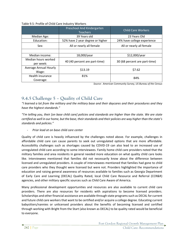|                                  | Preschool And Kindergarten<br><b>Teachers</b> | <b>Child Care Workers</b>     |
|----------------------------------|-----------------------------------------------|-------------------------------|
| Median Age:                      | 39 Years old                                  | 23 Years Old                  |
| Education:                       | 52% have 2 year degree or higher              | 24% have college experience   |
| Sex:                             | All or nearly all female                      | All or nearly all female      |
|                                  |                                               |                               |
| Median income:                   | 18,000/year                                   | \$12,000/year                 |
| Median hours worked<br>per week: | 40 (40 percent are part-time)                 | 30 (68 percent are part-time) |
| Average Annual Hourly<br>Wage:   | \$13.19                                       | \$7.62                        |
| Health insurance<br>Coverage:    | 81%                                           | 84%                           |

#### Table 9.5: Profile of Child Care Industry Workers

*Source: American Community Survey, US Bureau of the Census*

#### **9.4.5 Challenge 5 – Quality of Child Care**

*"I learned a lot from the military and the military base and their daycares and their procedures and they have the highest standards."*

*"I'm telling you, their [on base child care] policies and standards are higher than the state. We are state certified as well in our home, but the base, their standards and their policies are way higher than the state's standards and policies."* 

- *Prior lead at on base child care center*

Quality of child care is heavily influenced by the challenges noted above. For example, challenges in affordable child care can cause parents to seek out unregulated options that are more affordable. Accessibility challenges such as shortages caused by COVID-19 can also lead to an increased use of unregulated child care according to some interviewees. Family home child care providers noted that the military families and area residents in general needed more education on what quality child care looks like. Interviewees mentioned that families did not necessarily know about the difference between licensed and unregulated providers. A couple of interviewees mentioned that families had gone to child care providers who they thought were licensed but were not. Providers highlighted the importance of education and raising general awareness of resources available to families such as Georgia Department of Early Care and Learning (DECAL) Quality Rated, local Child Care Resource and Referral (CCR&R) agencies, and other military specific sources such as Child Care Aware of America.

Many professional development opportunities and resources are also available to current child care providers. There are also resources for residents with aspirations to become licensed providers. Scholarships and other financial assistance are available through state programs such as DECAL for current and future child care workers that want to be certified and/or acquire a college degree. Educating current babysitters/nannies or unlicensed providers about the benefits of becoming licensed and certified through working with Bright from the Start (also known as DECAL) to be quality rated would be beneficial to everyone.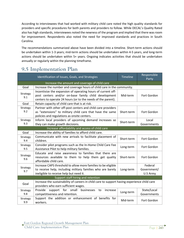According to interviewees that had worked with military child care noted the high quality standards for providers and specific procedures for both parents and providers to follow. While DECAL's Quality Rated also has high standards, interviewees noted the newness of the program and implied that there was room for improvement. Respondents also noted the need for improved standards and practices in South Carolina.

The recommendations summarized above have been divided into a timeline. Short-term actions should be undertaken within 1-3 years; mid-term actions should be undertaken within 4-5 years, and long-term actions should be undertaken within 5+ years. Ongoing indicates activities that should be undertaken annually or regularly within the planning timeframe.

## **9.5 Implementation Plan**

|                 | Identification of Issues, Goals, and Strategies                                                                                                                                      | <b>Timeline</b> | Responsible<br>Party               |  |  |
|-----------------|--------------------------------------------------------------------------------------------------------------------------------------------------------------------------------------|-----------------|------------------------------------|--|--|
|                 | Increase the amount and coverage of child care                                                                                                                                       |                 |                                    |  |  |
| Goal            | Increase the number and coverage hours of child care in the community.                                                                                                               |                 |                                    |  |  |
| Strategy<br>9.1 | Incentivize the expansion of operating hours of current off-<br>post centers and/or on-base family child development<br>centers to operate 24 hours (or to the needs of the parent). | Mid-term        | Fort Gordon                        |  |  |
| Goal            | Retain capacity of child care that is at risk.                                                                                                                                       |                 |                                    |  |  |
| Strategy<br>9.2 | Partner with other off-post centers and child care providers<br>as "extensions" to military child care that have the same<br>policies and regulations as onsite centers.             | Short-term      | Fort Gordon                        |  |  |
| Strategy<br>9.3 | Inform local providers of upcoming demand increases so<br>they can make growth decisions.                                                                                            | Short-term      | Local<br>Governments               |  |  |
|                 | Increase affordability and access of child care                                                                                                                                      |                 |                                    |  |  |
| Goal            | Increase the ability of families to afford child care.                                                                                                                               |                 |                                    |  |  |
| Strategy<br>9.4 | Communicate with new arrivals to facilitate placement of<br>children.                                                                                                                | Short-term      | Fort Gordon                        |  |  |
| Strategy<br>9.5 | Consider pilot programs such as the In-Home Child Care Fee<br>Assistance Pilot to help military families.                                                                            | Long-term       | Fort Gordon                        |  |  |
| Strategy<br>9.6 | Educate and raise awareness to families that there are<br>resources available to them to help them get quality<br>affordable child care.                                             | Short-term      | Fort Gordon                        |  |  |
| Strategy<br>9.7 | Increase CAPS threshold to allow more families to be eligible<br>to receive help, including military families who are barely<br>ineligible to receive help but need it.              | Long-term       | Federal<br>Government/<br>U.S Army |  |  |
|                 | Support staff hiring and retention                                                                                                                                                   |                 |                                    |  |  |
| Goal            | Increase the sustainability of careers in child care to support having experience child care<br>providers who earn sufficient wages.                                                 |                 |                                    |  |  |
| Strategy<br>9.8 | Provide<br>support for<br>small<br>businesses<br>to<br>increase<br>competitiveness and retention.                                                                                    | Long-term       | State/Local<br>Governments         |  |  |
| Strategy<br>9.9 | Support the addition or enhancement of benefits for<br>workers.                                                                                                                      | Mid-term        | Fort Gordon                        |  |  |

Fort Gordon Regional Growth Management Plan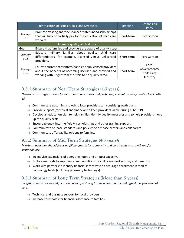|                  | Identification of Issues, Goals, and Strategies                                                                                                                                     | <b>Timeline</b> | Responsible<br>Party                                   |
|------------------|-------------------------------------------------------------------------------------------------------------------------------------------------------------------------------------|-----------------|--------------------------------------------------------|
| Strategy<br>9.10 | Promote existing and/or enhanced state funded scholarships<br>that will fully or partially pay for the education of child care<br>workers.                                          | Short-term      | Fort Gordon                                            |
|                  | Increase quality of child care                                                                                                                                                      |                 |                                                        |
| Goal             | Ensure that families and providers are aware of quality issues.                                                                                                                     |                 |                                                        |
| Strategy<br>9.11 | military families about quality child<br>Educate<br>care<br>differentiators, for example, licensed versus unlicensed<br>providers.                                                  | Short-term      | Fort Gordon                                            |
| Strategy<br>9.12 | Educate current babysitters/nannies or unlicensed providers<br>about the benefits of becoming licensed and certified and<br>working with Bright from the Start to be quality rated. | Short-term      | Local<br>Governments/<br><b>Child Care</b><br>Industry |

#### **9.5.1 Summary of Near Term Strategies (1-3 years):**

*Near-term strategies should focus on communications and protecting current capacity related to COVID-19*

- $\rightarrow$  Communicate upcoming growth so local providers can consider growth plans.
- $\rightarrow$  Provide support (technical and financial) to keep providers viable during COVID-19.
- $\rightarrow$  Develop an education plan to help families identify quality measures and to help providers move up the quality scale.
- $\rightarrow$  Encourage entry into the field via scholarships and other training support.
- $\rightarrow$  Communicate on-base standards and policies so off-base centers and collaborate.
- $\rightarrow$  Communicate affordability options to families.

#### **9.5.2 Summary of Mid Term Strategies (4-5 years):**

*Mid-term activities should focus on filling gaps in local capacity and constraints to growth and/or sustainability.* 

- $\rightarrow$  Incentivize expansions of operating hours and on-post capacity.
- $\rightarrow$  Explore methods to improve career conditions for child care workers (pay and benefits)
- $\rightarrow$  Work with partners to identify financial incentives to encourage enrollment in medical technology fields (including pharmacy technology).

#### **9.5.3 Summary of Long Term Strategies (More than 5 years):**

*Long-term activities should focus on building a strong business community and affordable provision of care.* 

- $\rightarrow$  Technical and business support for local providers.
- $\rightarrow$  Increase thresholds for financial assistance to families.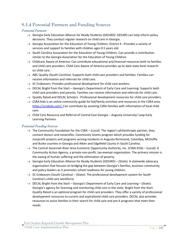### **9.5.4 Potential Partners and Funding Sources**

#### Potential Partners

- $\rightarrow$  Georgia Early Education Alliance for Ready Students (GEEARS): GEEARS can help inform policy decisions. They conduct regular research on child care in Georgia.
- $\rightarrow$  Georgia Association for the Education of Young Children, District 4 : Provides a variety of services and support to families with children ages 0-5 years old.
- $\rightarrow$  South Carolina Association for the Education of Young Children: Can provide a contribution similar to the Georgia Association for the Education of Young Children.
- $\rightarrow$  Childcare Aware of America: Can contribute educational and financial resources both to families and child care providers. Child Care Aware of America provides up to date state level research on child care.
- $\rightarrow$  ABC Quality (South Carolina): Supports both child care providers and families. Families can receive information and referrals for child care.
- $\rightarrow$  SC Endeavors: Provides professional development for child care workers.
- $\rightarrow$  DECAL Bright from the Start Georgia's Department of Early Care and Learning: Supports both child care providers and parents. Families can receive information and referrals for child care.
- $\rightarrow$  Quality Rated and DECAL Scholars : Professional development resources for child care providers.
- $\rightarrow$  CSRA Kids is an online community guide for kid/family activities and resources in the CSRA area. [https://csrakids.com/:](https://csrakids.com/) Can contribute by assisting CSRA families with information of local child care.
- $\rightarrow$  Child Care Resource and Referral of Central East Georgia Augusta University/ Leap Early Learning Partners

#### Potential Funding Sources

- $\rightarrow$  The Community Foundation for the CSRA (Local): The region's philanthropic partner, they connect donors and nonprofits. Community Grants program which provides funding for nonprofit projects and programs serving residents in Augusta-Richmond, Columbia, McDuffie and Burke counties in Georgia and Aiken and Edgefield County in South Carolina.
- $\rightarrow$  The Central Savannah River Area Economic Opportunity Authority, Inc. (CSRA EOA) (Local): A Community Action Agency, a private non-profit, tax-exempt organization. The primary mission is the easing of human suffering and the elimination of poverty.
- $\rightarrow$  Georgia Early Education Alliance for Ready Students (GEEARS) (State): A statewide advocacy organization that focuses on bridging the gap between Georgia's families, business community, and policy leaders as it promotes school readiness for young children.
- $\rightarrow$  SC Endeavors (South Carolina) (State): The professional development system for South Carolina's child care workforce.
- $\rightarrow$  DECAL Bright from the Start Georgia's Department of Early Care and Learning (State): Georgia's agency for licensing and monitoring child care in the state. Bright from the Start Quality Rated is an optional program for child care providers. They offer a variety of professional development resources to current and aspirational child care providers. DECAL also provides resources to assist families in their search for child care and pre-k programs that meet their needs.